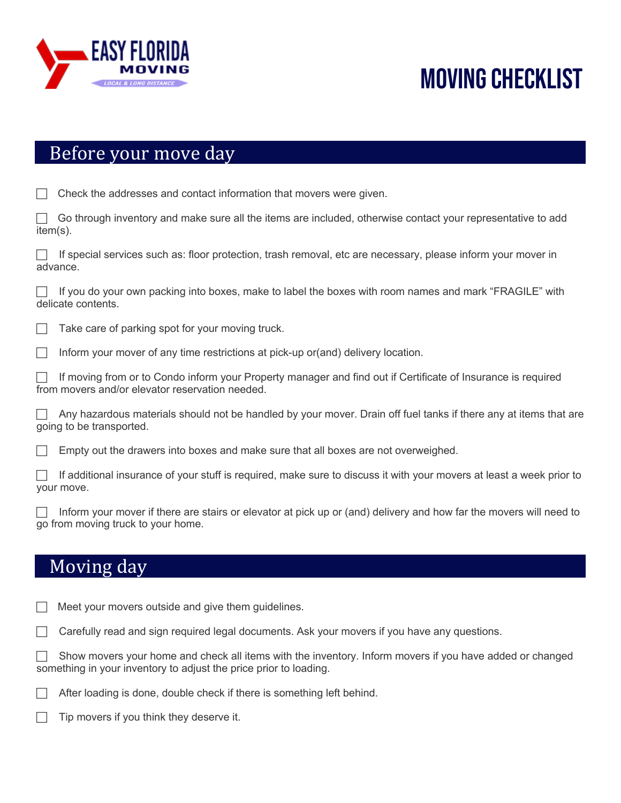

# Moving checklist

#### Before your move day

|  | $\Box$ Check the addresses and contact information that movers were given. |  |  |  |  |  |
|--|----------------------------------------------------------------------------|--|--|--|--|--|
|--|----------------------------------------------------------------------------|--|--|--|--|--|

| $\Box$ Go through inventory and make sure all the items are included, otherwise contact your representative to add |  |  |  |  |
|--------------------------------------------------------------------------------------------------------------------|--|--|--|--|
| item(s).                                                                                                           |  |  |  |  |

| If special services such as: floor protection, trash removal, etc are necessary, please inform your mover in |  |
|--------------------------------------------------------------------------------------------------------------|--|
| advance.                                                                                                     |  |

If you do your own packing into boxes, make to label the boxes with room names and mark "FRAGILE" with delicate contents.

Take care of parking spot for your moving truck.

Inform your mover of any time restrictions at pick-up or(and) delivery location.

c If moving from or to Condo inform your Property manager and find out if Certificate of Insurance is required from movers and/or elevator reservation needed.

Any hazardous materials should not be handled by your mover. Drain off fuel tanks if there any at items that are going to be transported.

Empty out the drawers into boxes and make sure that all boxes are not overweighed.

c If additional insurance of your stuff is required, make sure to discuss it with your movers at least a week prior to your move.

Inform your mover if there are stairs or elevator at pick up or (and) delivery and how far the movers will need to go from moving truck to your home.

### Moving day

Meet your movers outside and give them guidelines.

c Carefully read and sign required legal documents. Ask your movers if you have any questions.

Show movers your home and check all items with the inventory. Inform movers if you have added or changed something in your inventory to adjust the price prior to loading.

After loading is done, double check if there is something left behind.

Tip movers if you think they deserve it.